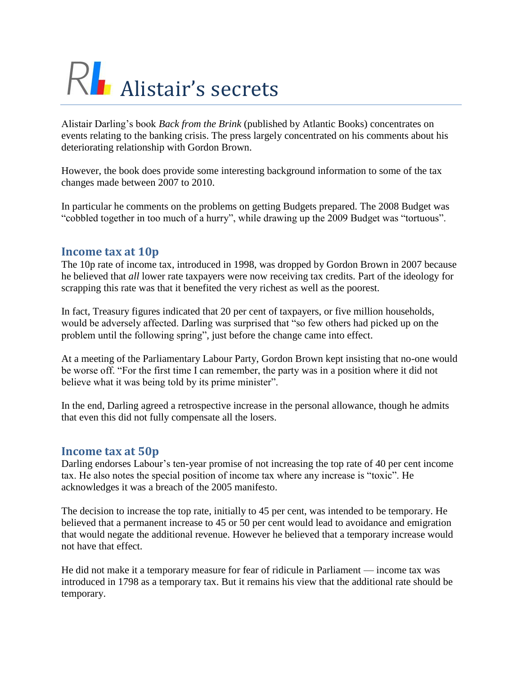# RL Alistair's secrets

Alistair Darling's book *Back from the Brink* (published by Atlantic Books) concentrates on events relating to the banking crisis. The press largely concentrated on his comments about his deteriorating relationship with Gordon Brown.

However, the book does provide some interesting background information to some of the tax changes made between 2007 to 2010.

In particular he comments on the problems on getting Budgets prepared. The 2008 Budget was "cobbled together in too much of a hurry", while drawing up the 2009 Budget was "tortuous".

## **Income tax at 10p**

The 10p rate of income tax, introduced in 1998, was dropped by Gordon Brown in 2007 because he believed that *all* lower rate taxpayers were now receiving tax credits. Part of the ideology for scrapping this rate was that it benefited the very richest as well as the poorest.

In fact, Treasury figures indicated that 20 per cent of taxpayers, or five million households, would be adversely affected. Darling was surprised that "so few others had picked up on the problem until the following spring", just before the change came into effect.

At a meeting of the Parliamentary Labour Party, Gordon Brown kept insisting that no-one would be worse off. "For the first time I can remember, the party was in a position where it did not believe what it was being told by its prime minister".

In the end, Darling agreed a retrospective increase in the personal allowance, though he admits that even this did not fully compensate all the losers.

#### **Income tax at 50p**

Darling endorses Labour's ten-year promise of not increasing the top rate of 40 per cent income tax. He also notes the special position of income tax where any increase is "toxic". He acknowledges it was a breach of the 2005 manifesto.

The decision to increase the top rate, initially to 45 per cent, was intended to be temporary. He believed that a permanent increase to 45 or 50 per cent would lead to avoidance and emigration that would negate the additional revenue. However he believed that a temporary increase would not have that effect.

He did not make it a temporary measure for fear of ridicule in Parliament — income tax was introduced in 1798 as a temporary tax. But it remains his view that the additional rate should be temporary.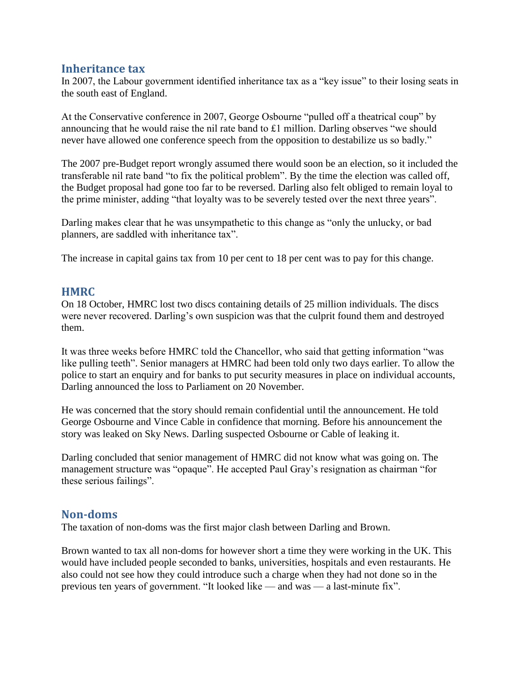#### **Inheritance tax**

In 2007, the Labour government identified inheritance tax as a "key issue" to their losing seats in the south east of England.

At the Conservative conference in 2007, George Osbourne "pulled off a theatrical coup" by announcing that he would raise the nil rate band to £1 million. Darling observes "we should never have allowed one conference speech from the opposition to destabilize us so badly."

The 2007 pre-Budget report wrongly assumed there would soon be an election, so it included the transferable nil rate band "to fix the political problem". By the time the election was called off, the Budget proposal had gone too far to be reversed. Darling also felt obliged to remain loyal to the prime minister, adding "that loyalty was to be severely tested over the next three years".

Darling makes clear that he was unsympathetic to this change as "only the unlucky, or bad planners, are saddled with inheritance tax".

The increase in capital gains tax from 10 per cent to 18 per cent was to pay for this change.

#### **HMRC**

On 18 October, HMRC lost two discs containing details of 25 million individuals. The discs were never recovered. Darling's own suspicion was that the culprit found them and destroyed them.

It was three weeks before HMRC told the Chancellor, who said that getting information "was like pulling teeth". Senior managers at HMRC had been told only two days earlier. To allow the police to start an enquiry and for banks to put security measures in place on individual accounts, Darling announced the loss to Parliament on 20 November.

He was concerned that the story should remain confidential until the announcement. He told George Osbourne and Vince Cable in confidence that morning. Before his announcement the story was leaked on Sky News. Darling suspected Osbourne or Cable of leaking it.

Darling concluded that senior management of HMRC did not know what was going on. The management structure was "opaque". He accepted Paul Gray's resignation as chairman "for these serious failings".

## **Non-doms**

The taxation of non-doms was the first major clash between Darling and Brown.

Brown wanted to tax all non-doms for however short a time they were working in the UK. This would have included people seconded to banks, universities, hospitals and even restaurants. He also could not see how they could introduce such a charge when they had not done so in the previous ten years of government. "It looked like — and was — a last-minute fix".